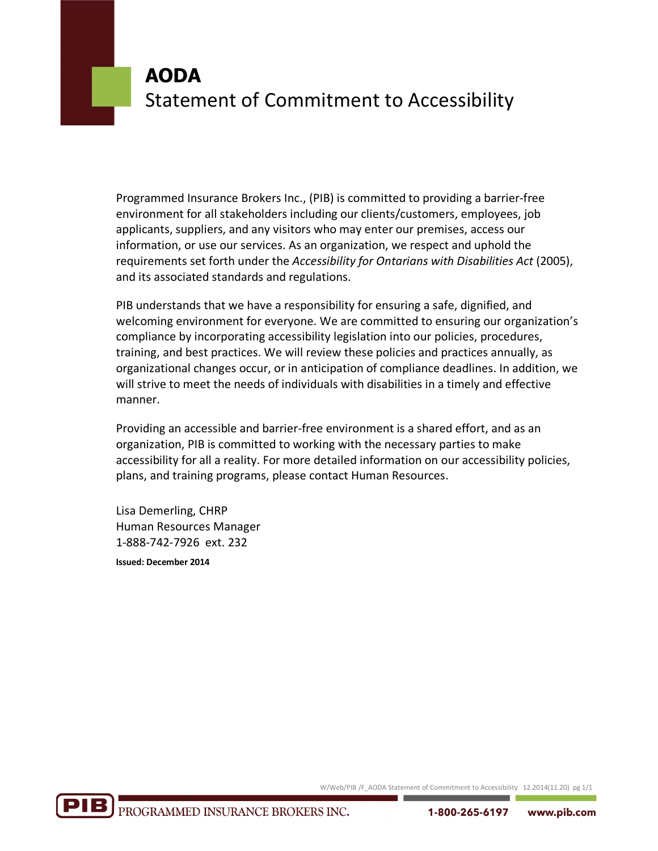# **AODA** Statement of Commitment to Accessibility

Programmed Insurance Brokers Inc., (PIB) is committed to providing a barrier-free environment for all stakeholders including our clients/customers, employees, job applicants, suppliers, and any visitors who may enter our premises, access our information, or use our services. As an organization, we respect and uphold the requirements set forth under the *Accessibility for Ontarians with Disabilities Act* (2005), and its associated standards and regulations.

PIB understands that we have a responsibility for ensuring a safe, dignified, and welcoming environment for everyone. We are committed to ensuring our organization's compliance by incorporating accessibility legislation into our policies, procedures, training, and best practices. We will review these policies and practices annually, as organizational changes occur, or in anticipation of compliance deadlines. In addition, we will strive to meet the needs of individuals with disabilities in a timely and effective manner.

Providing an accessible and barrier-free environment is a shared effort, and as an organization, PIB is committed to working with the necessary parties to make accessibility for all a reality. For more detailed information on our accessibility policies, plans, and training programs, please contact Human Resources.

Lisa Demerling, CHRP Human Resources Manager 1-888-742-7926 ext. 232

**Issued: December 2014**

W/Web/PIB /F\_AODA Statement of Commitment to Accessibility 12.2014(11.20) pg 1/1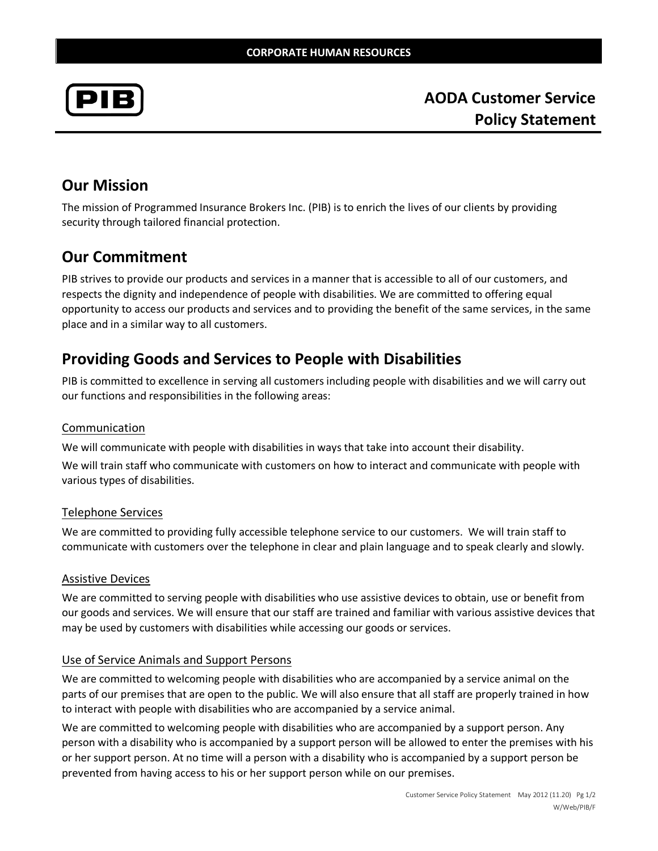

**AODA Customer Service Policy Statement**

### **Our Mission**

The mission of Programmed Insurance Brokers Inc. (PIB) is to enrich the lives of our clients by providing security through tailored financial protection.

### **Our Commitment**

PIB strives to provide our products and services in a manner that is accessible to all of our customers, and respects the dignity and independence of people with disabilities. We are committed to offering equal opportunity to access our products and services and to providing the benefit of the same services, in the same place and in a similar way to all customers.

### **Providing Goods and Services to People with Disabilities**

PIB is committed to excellence in serving all customers including people with disabilities and we will carry out our functions and responsibilities in the following areas:

#### Communication

We will communicate with people with disabilities in ways that take into account their disability.

We will train staff who communicate with customers on how to interact and communicate with people with various types of disabilities.

#### Telephone Services

We are committed to providing fully accessible telephone service to our customers. We will train staff to communicate with customers over the telephone in clear and plain language and to speak clearly and slowly.

#### Assistive Devices

We are committed to serving people with disabilities who use assistive devices to obtain, use or benefit from our goods and services. We will ensure that our staff are trained and familiar with various assistive devices that may be used by customers with disabilities while accessing our goods or services.

#### Use of Service Animals and Support Persons

We are committed to welcoming people with disabilities who are accompanied by a service animal on the parts of our premises that are open to the public. We will also ensure that all staff are properly trained in how to interact with people with disabilities who are accompanied by a service animal.

We are committed to welcoming people with disabilities who are accompanied by a support person. Any person with a disability who is accompanied by a support person will be allowed to enter the premises with his or her support person. At no time will a person with a disability who is accompanied by a support person be prevented from having access to his or her support person while on our premises.